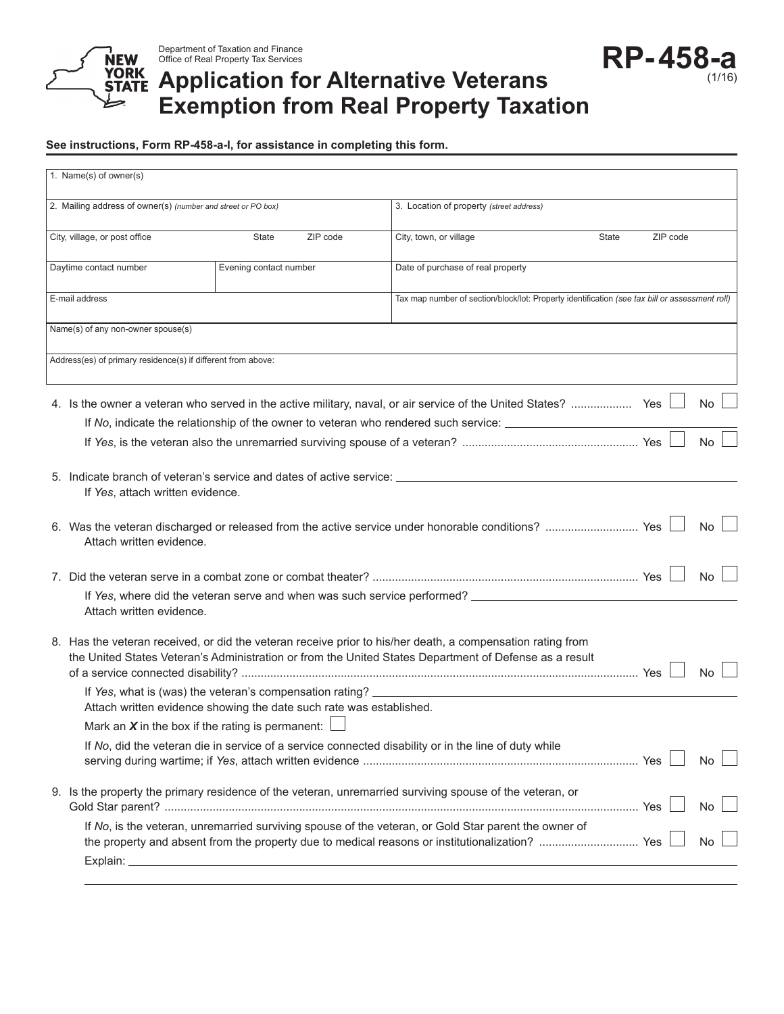

# **Application for Alternative Veterans**<br> **Application for Alternative Veterans Exemption from Real Property Taxation**

#### **See instructions, Form RP-458-a-I, for assistance in completing this form.**

| 1. Name(s) of owner(s)                                                                                        |                                                                                                                                 |                                                                                                                                                                                                                      |                                                                                                |  |  |  |
|---------------------------------------------------------------------------------------------------------------|---------------------------------------------------------------------------------------------------------------------------------|----------------------------------------------------------------------------------------------------------------------------------------------------------------------------------------------------------------------|------------------------------------------------------------------------------------------------|--|--|--|
| 2. Mailing address of owner(s) (number and street or PO box)                                                  |                                                                                                                                 | 3. Location of property (street address)                                                                                                                                                                             |                                                                                                |  |  |  |
| City, village, or post office                                                                                 | State<br>ZIP code                                                                                                               | City, town, or village                                                                                                                                                                                               | ZIP code<br>State                                                                              |  |  |  |
| Daytime contact number                                                                                        | Evening contact number                                                                                                          | Date of purchase of real property                                                                                                                                                                                    |                                                                                                |  |  |  |
| E-mail address                                                                                                |                                                                                                                                 |                                                                                                                                                                                                                      | Tax map number of section/block/lot: Property identification (see tax bill or assessment roll) |  |  |  |
| Name(s) of any non-owner spouse(s)                                                                            |                                                                                                                                 |                                                                                                                                                                                                                      |                                                                                                |  |  |  |
| Address(es) of primary residence(s) if different from above:                                                  |                                                                                                                                 |                                                                                                                                                                                                                      |                                                                                                |  |  |  |
|                                                                                                               |                                                                                                                                 | If No, indicate the relationship of the owner to veteran who rendered such service:                                                                                                                                  | <b>No</b>                                                                                      |  |  |  |
|                                                                                                               |                                                                                                                                 |                                                                                                                                                                                                                      | <b>No</b>                                                                                      |  |  |  |
| 5. Indicate branch of veteran's service and dates of active service: ____<br>If Yes, attach written evidence. |                                                                                                                                 |                                                                                                                                                                                                                      |                                                                                                |  |  |  |
| Attach written evidence.                                                                                      |                                                                                                                                 |                                                                                                                                                                                                                      | No                                                                                             |  |  |  |
|                                                                                                               |                                                                                                                                 |                                                                                                                                                                                                                      | No                                                                                             |  |  |  |
| Attach written evidence.                                                                                      |                                                                                                                                 | If Yes, where did the veteran serve and when was such service performed? ___________________________                                                                                                                 |                                                                                                |  |  |  |
|                                                                                                               |                                                                                                                                 | 8. Has the veteran received, or did the veteran receive prior to his/her death, a compensation rating from<br>the United States Veteran's Administration or from the United States Department of Defense as a result | No                                                                                             |  |  |  |
|                                                                                                               | If Yes, what is (was) the veteran's compensation rating?<br>Attach written evidence showing the date such rate was established. |                                                                                                                                                                                                                      |                                                                                                |  |  |  |
| Mark an $X$ in the box if the rating is permanent:                                                            |                                                                                                                                 |                                                                                                                                                                                                                      |                                                                                                |  |  |  |
|                                                                                                               |                                                                                                                                 | If No, did the veteran die in service of a service connected disability or in the line of duty while                                                                                                                 | No                                                                                             |  |  |  |
|                                                                                                               |                                                                                                                                 | 9. Is the property the primary residence of the veteran, unremarried surviving spouse of the veteran, or                                                                                                             | No                                                                                             |  |  |  |
|                                                                                                               |                                                                                                                                 | If No, is the veteran, unremarried surviving spouse of the veteran, or Gold Star parent the owner of                                                                                                                 | No                                                                                             |  |  |  |

**RP-458-a** (1/16)